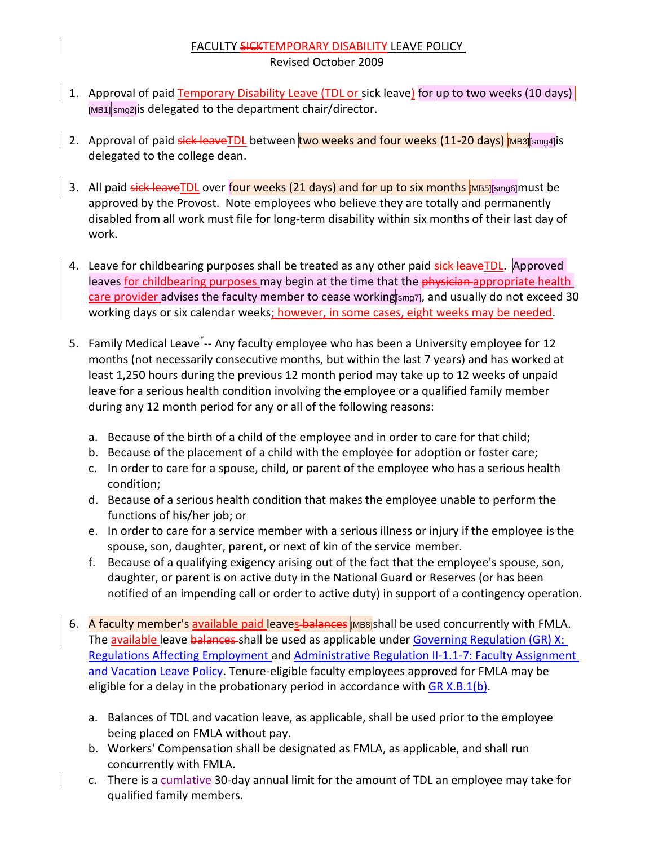## FACULTY SICKTEMPORARY DISABILITY LEAVE POLICY Revised October 2009

- 1. Approval of paid **Temporary Disability Leave (TDL or** sick leave) for up to two weeks (10 days) [MB1][smg2]is delegated to the department chair/director.
- 2. Approval of paid sick leaveTDL between two weeks and four weeks (11-20 days) MB3][smg4]is delegated to the college dean.
- 3. All paid sick leaveTDL over four weeks (21 days) and for up to six months [MB5][smg6]must be approved by the Provost. Note employees who believe they are totally and permanently disabled from all work must file for long-term disability within six months of their last day of work.
- 4. Leave for childbearing purposes shall be treated as any other paid sick leaveTDL. Approved leaves for childbearing purposes may begin at the time that the physician appropriate health care provider advises the faculty member to cease working[smg7], and usually do not exceed 30 working days or six calendar weeks; however, in some cases, eight weeks may be needed.
- 5. Family Medical Leave<sup>\*</sup>-- Any faculty employee who has been a University employee for 12 months (not necessarily consecutive months, but within the last 7 years) and has worked at least 1,250 hours during the previous 12 month period may take up to 12 weeks of unpaid leave for a serious health condition involving the employee or a qualified family member during any 12 month period for any or all of the following reasons:
	- a. Because of the birth of a child of the employee and in order to care for that child;
	- b. Because of the placement of a child with the employee for adoption or foster care;
	- c. In order to care for a spouse, child, or parent of the employee who has a serious health condition;
	- d. Because of a serious health condition that makes the employee unable to perform the functions of his/her job; or
	- e. In order to care for a service member with a serious illness or injury if the employee is the spouse, son, daughter, parent, or next of kin of the service member.
	- f. Because of a qualifying exigency arising out of the fact that the employee's spouse, son, daughter, or parent is on active duty in the National Guard or Reserves (or has been notified of an impending call or order to active duty) in support of a contingency operation.
- 6. A faculty member's available paid leaves balances [MB8]shall be used concurrently with FMLA. The available leave balances-shall be used as applicable under Governing Regulation (GR) X: [Regulations Affecting Employment a](http://www.uky.edu/Regs/files/gr/gr10.pdf)nd [Administrative Regulation II-1.1-7: Faculty Assignment](http://www.uky.edu/Regs/files/ar/ar038.pdf)  [and Vacation Leave Policy.](http://www.uky.edu/Regs/files/ar/ar038.pdf) Tenure-eligible faculty employees approved for FMLA may be eligible for a delay in the probationary period in accordance with [GR X.B.1\(b\).](http://www.uky.edu/Regs/files/gr/gr10.pdf)
	- a. Balances of TDL and vacation leave, as applicable, shall be used prior to the employee being placed on FMLA without pay.
	- b. Workers' Compensation shall be designated as FMLA, as applicable, and shall run concurrently with FMLA.
	- c. There is a cumlative 30-day annual limit for the amount of TDL an employee may take for qualified family members.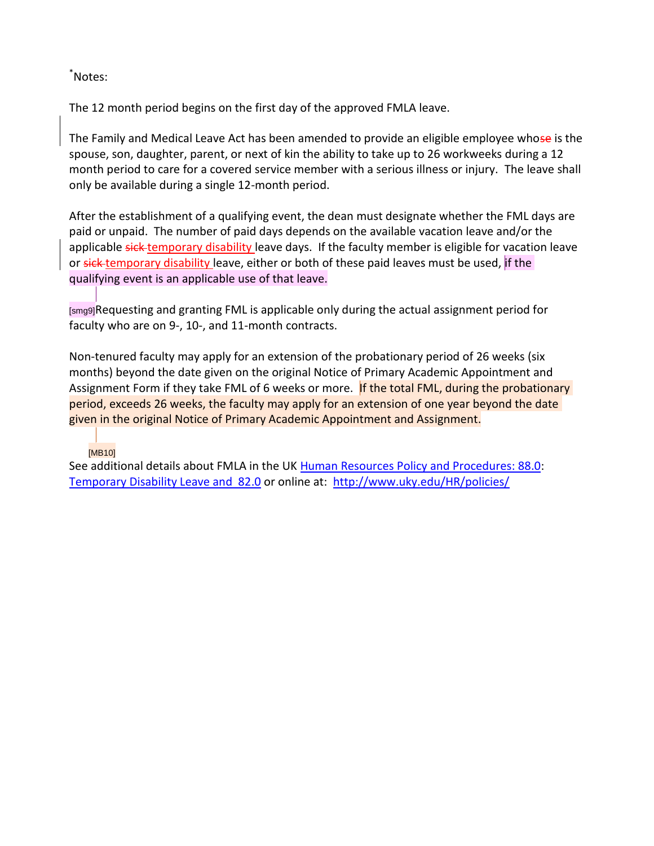## \*Notes:

The 12 month period begins on the first day of the approved FMLA leave.

The Family and Medical Leave Act has been amended to provide an eligible employee whose is the spouse, son, daughter, parent, or next of kin the ability to take up to 26 workweeks during a 12 month period to care for a covered service member with a serious illness or injury. The leave shall only be available during a single 12-month period.

After the establishment of a qualifying event, the dean must designate whether the FML days are paid or unpaid. The number of paid days depends on the available vacation leave and/or the applicable sick-temporary disability leave days. If the faculty member is eligible for vacation leave or sick temporary disability leave, either or both of these paid leaves must be used, if the qualifying event is an applicable use of that leave.

[smg9]Requesting and granting FML is applicable only during the actual assignment period for faculty who are on 9-, 10-, and 11-month contracts.

Non-tenured faculty may apply for an extension of the probationary period of 26 weeks (six months) beyond the date given on the original Notice of Primary Academic Appointment and Assignment Form if they take FML of 6 weeks or more. If the total FML, during the probationary period, exceeds 26 weeks, the faculty may apply for an extension of one year beyond the date given in the original Notice of Primary Academic Appointment and Assignment.

## [MB10]

See additional details about FMLA in the UK [Human Resources Policy and Procedures: 88.0:](http://www.uky.edu/HR/policies/hrpp088.html) [Temporary Disability Leave and 82.0](http://www.uky.edu/HR/policies/hrpp082.html) or online at: <http://www.uky.edu/HR/policies/>